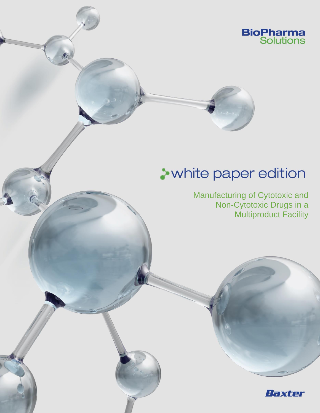

# **A** white paper edition

Manufacturing of Cytotoxic and Non-Cytotoxic Drugs in a Multiproduct Facility

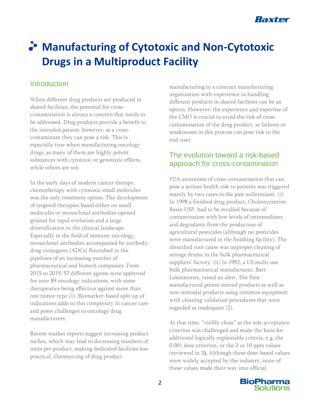

## **Manufacturing of Cytotoxic and Non-Cytotoxic Drugs in a Multiproduct Facility**

### **Introduction**

When different drug products are produced in shared facilities, the potential for crosscontamination is always a concern that needs to be addressed. Drug products provide a benefit to the intended patient; however, as a crosscontaminant they can pose a risk. This is especially true when manufacturing oncology drugs, as many of them are highly potent substances with cytotoxic or genotoxic effects, while others are not.

In the early days of modern cancer therapy, chemotherapy with cytotoxic small molecules was the only treatment option. The development of targeted therapies based either on small molecules or monoclonal antibodies opened ground for rapid evolution and a large diversification in the clinical landscape. Especially in the field of immune-oncology, monoclonal antibodies accompanied by antibodydrug conjugates (ADCs) flourished in the pipelines of an increasing number of pharmaceutical and biotech companies. From 2015 to 2019, 57 different agents were approved for over 89 oncology indications, with some therapeutics being effective against more than one tumor type (1). Biomarker-based split up of indications adds to this complexity in cancer care and poses challenges to oncology drug manufacturers.

Recent market reports suggest increasing product niches, which may lead to decreasing numbers of units per product, making dedicated facilities less practical. Outsourcing of drug product

manufacturing to a contract manufacturing organization with experience in handling different products in shared facilities can be an option. However, the experience and expertise of the CMO is crucial to avoid the risk of crosscontamination of the drug product, as failures or weaknesses in this process can pose risk to the end-user.

#### The evolution toward a risk-based approach for cross-contamination

FDA awareness of cross-contamination that can pose a serious health risk to patients was triggered mainly by two cases in the past millennium: (i) In 1998 a finished drug product, Cholestyramine Resin USP, had to be recalled because of contamination with low levels of intermediates and degradants from the production of agricultural pesticides (although no pesticides were manufactured in the finishing facility). The identified root cause was improper cleaning of storage drums in the bulk pharmaceutical suppliers' factory. (ii) In 1992, a US multi-use bulk pharmaceutical manufacturer, Barr Laboratories, raised an alert. The firm manufactured potent steroid products as well as non-steroidal products using common equipment with cleaning validation procedures that were regarded as inadequate (2).

At that time, "visibly clean" as the sole acceptance criterion was challenged and made the basis for additional logically explainable criteria, e.g. the 0.001 dose criterion, or the 3 or 10 ppm values (reviewed in 3). Although these dose-based values were widely accepted by the industry, none of these values made their way into official

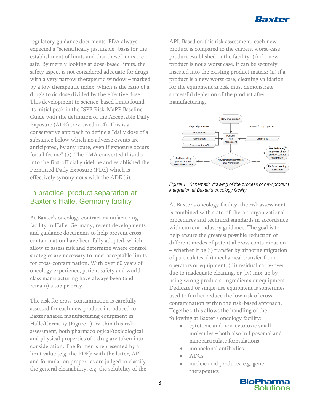

regulatory guidance documents. FDA always expected a "scientifically justifiable" basis for the establishment of limits and that these limits are safe. By merely looking at dose-based limits, the safety aspect is not considered adequate for drugs with a very narrow therapeutic window – marked by a low therapeutic index, which is the ratio of a drug's toxic dose divided by the effective dose. This development to science-based limits found its initial peak in the ISPE Risk-MaPP Baseline Guide with the definition of the Acceptable Daily Exposure (ADE) (reviewed in 4). This is a conservative approach to define a "daily dose of a substance below which no adverse events are anticipated, by any route, even if exposure occurs for a lifetime" (5). The EMA converted this idea into the first official guideline and established the Permitted Daily Exposure (PDE) which is effectively synonymous with the ADE (6).

#### In practice: product separation at Baxter's Halle, Germany facility

At Baxter's oncology contract manufacturing facility in Halle, Germany, recent developments and guidance documents to help prevent crosscontamination have been fully adopted, which allow to assess risk and determine where control strategies are necessary to meet acceptable limits for cross-contamination. With over 60 years of oncology experience, patient safety and worldclass manufacturing have always been (and remain) a top priority.

The risk for cross-contamination is carefully assessed for each new product introduced to Baxter shared manufacturing equipment in Halle/Germany (Figure 1). Within this risk assessment, both pharmacological/toxicological and physical properties of a drug are taken into consideration. The former is represented by a limit value (e.g. the PDE); with the latter, API and formulation properties are judged to classify the general cleanability, e.g. the solubility of the API. Based on this risk assessment, each new product is compared to the current worst-case product established in the facility: (i) if a new product is not a worst case, it can be securely inserted into the existing product matrix; (ii) if a product is a new worst case, cleaning validation for the equipment at risk must demonstrate successful depletion of the product after manufacturing.



*Figure 1. Schematic drawing of the process of new product integration at Baxter's oncology facility*

At Baxter's oncology facility, the risk assessment is combined with state-of-the-art organizational procedures and technical standards in accordance with current industry guidance. The goal is to help ensure the greatest possible reduction of different modes of potential cross contamination – whether it be (i) transfer by airborne migration of particulates, (ii) mechanical transfer from operators or equipment, (iii) residual carry-over due to inadequate cleaning, or (iv) mix-up by using wrong products, ingredients or equipment. Dedicated or single-use equipment is sometimes used to further reduce the low risk of crosscontamination within the risk-based approach. Together, this allows the handling of the following at Baxter's oncology facility:

- cytotoxic and non-cytotoxic small molecules – both also in liposomal and nanoparticulate formulations
- monoclonal antibodies
- ADCs
- nucleic acid products, e.g. gene therapeutics